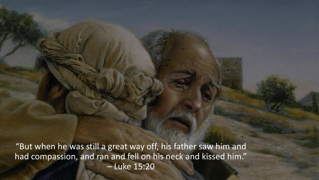"But when he was still a great way off, his father saw him and had compassion, and ran and fell on his neck and kissed him." – Luke 15:20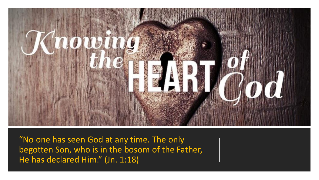

"No one has seen God at any time. The only begotten Son, who is in the bosom of the Father, He has declared Him." (Jn. 1:18)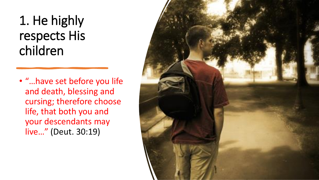#### 1. He highly respects His children

• "…have set before you life and death, blessing and cursing; therefore choose life, that both you and your descendants may live…" (Deut. 30:19)

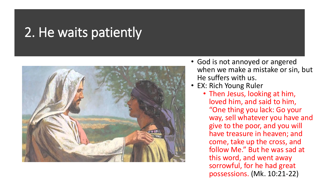#### 2. He waits patiently



- God is not annoyed or angered when we make a mistake or sin, but He suffers with us.
- EX: Rich Young Ruler
	- Then Jesus, looking at him, loved him, and said to him, "One thing you lack: Go your way, sell whatever you have and give to the poor, and you will have treasure in heaven; and come, take up the cross, and follow Me." But he was sad at this word, and went away sorrowful, for he had great possessions. (Mk. 10:21-22)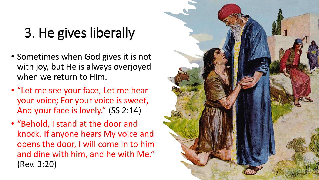### 3. He gives liberally

- Sometimes when God gives it is not with joy, but He is always overjoyed when we return to Him.
- "Let me see your face, Let me hear your voice; For your voice is sweet, And your face is lovely." (SS 2:14)
- "Behold, I stand at the door and knock. If anyone hears My voice and opens the door, I will come in to him and dine with him, and he with Me." (Rev. 3:20)

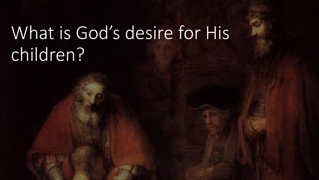# What is God's desire for His children?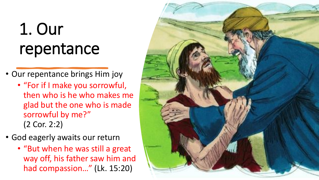## 1. Our repentance

- Our repentance brings Him joy
	- "For if I make you sorrowful, then who is he who makes me glad but the one who is made sorrowful by me?" (2 Cor. 2:2)
- God eagerly awaits our return
	- "But when he was still a great way off, his father saw him and had compassion..." (Lk. 15:20)

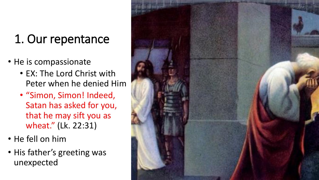### 1. Our repentance

- He is compassionate
	- EX: The Lord Christ with Peter when he denied Him
	- "Simon, Simon! Indeed, Satan has asked for you, that he may sift you as wheat." (Lk. 22:31)
- He fell on him
- His father's greeting was unexpected

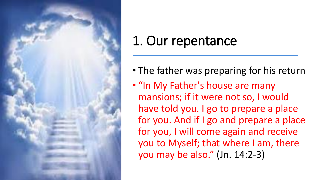

### 1. Our repentance

- The father was preparing for his return
- "In My Father's house are many mansions; if it were not so, I would have told you. I go to prepare a place for you. And if I go and prepare a place for you, I will come again and receive you to Myself; that where I am, there you may be also." (Jn. 14:2-3)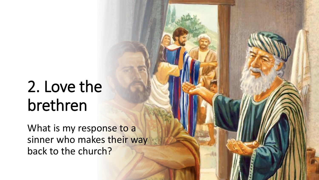### 2. Love the brethren

What is my response to a sinner who makes their way back to the church?